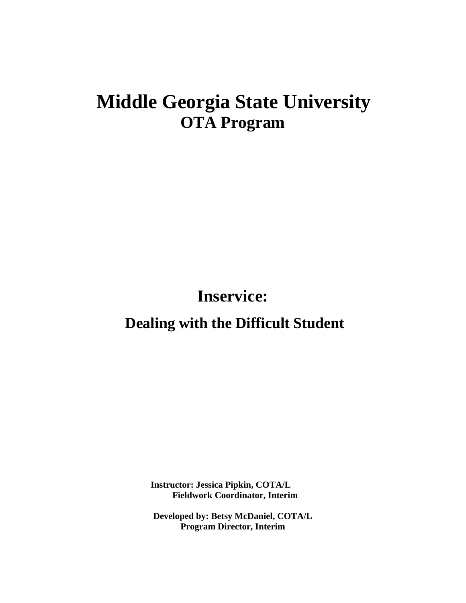# **Middle Georgia State University OTA Program**

**Inservice:**

**Dealing with the Difficult Student**

**Instructor: Jessica Pipkin, COTA/L Fieldwork Coordinator, Interim** 

**Developed by: Betsy McDaniel, COTA/L Program Director, Interim**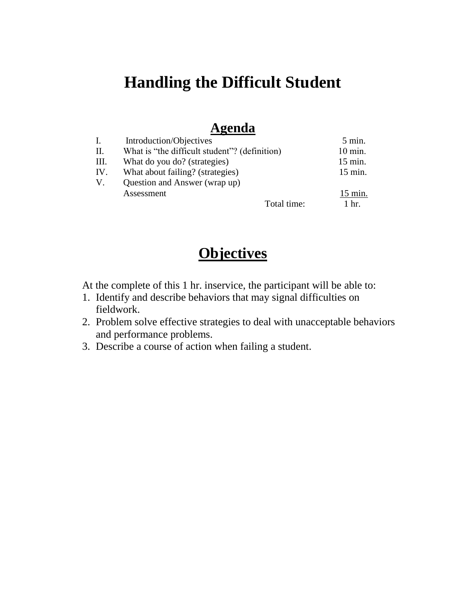## **Handling the Difficult Student**

## **Agenda**

|     | Introduction/Objectives                       |             | $5 \text{ min.}$   |
|-----|-----------------------------------------------|-------------|--------------------|
| П.  | What is "the difficult student"? (definition) |             | $10 \text{ min.}$  |
| Ш.  | What do you do? (strategies)                  |             | $15$ min.          |
| IV. | What about failing? (strategies)              |             | $15$ min.          |
| V.  | Question and Answer (wrap up)                 |             |                    |
|     | Assessment                                    |             | $15$ min.          |
|     |                                               | Total time: | $1 \; \text{hr}$ . |

## **Objectives**

At the complete of this 1 hr. inservice, the participant will be able to:

- 1. Identify and describe behaviors that may signal difficulties on fieldwork.
- 2. Problem solve effective strategies to deal with unacceptable behaviors and performance problems.
- 3. Describe a course of action when failing a student.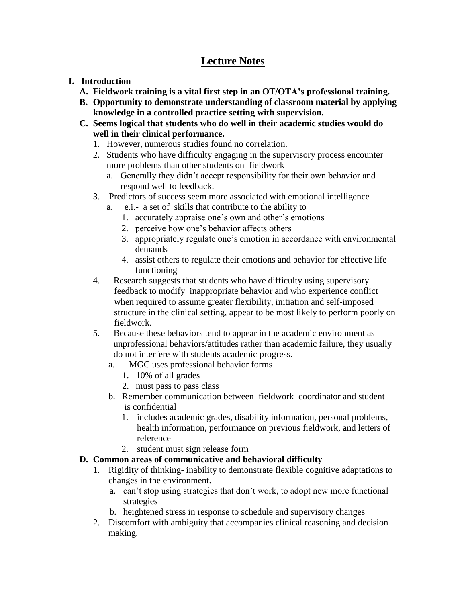## **Lecture Notes**

- **I. Introduction**
	- **A. Fieldwork training is a vital first step in an OT/OTA's professional training.**
	- **B. Opportunity to demonstrate understanding of classroom material by applying knowledge in a controlled practice setting with supervision.**
	- **C. Seems logical that students who do well in their academic studies would do well in their clinical performance.** 
		- 1. However, numerous studies found no correlation.
		- 2. Students who have difficulty engaging in the supervisory process encounter more problems than other students on fieldwork
			- a. Generally they didn't accept responsibility for their own behavior and respond well to feedback.
		- 3. Predictors of success seem more associated with emotional intelligence
			- a. e.i.- a set of skills that contribute to the ability to
				- 1. accurately appraise one's own and other's emotions
				- 2. perceive how one's behavior affects others
				- 3. appropriately regulate one's emotion in accordance with environmental demands
				- 4. assist others to regulate their emotions and behavior for effective life functioning
		- 4. Research suggests that students who have difficulty using supervisory feedback to modify inappropriate behavior and who experience conflict when required to assume greater flexibility, initiation and self-imposed structure in the clinical setting, appear to be most likely to perform poorly on fieldwork.
		- 5. Because these behaviors tend to appear in the academic environment as unprofessional behaviors/attitudes rather than academic failure, they usually do not interfere with students academic progress.
			- a. MGC uses professional behavior forms
				- 1. 10% of all grades
				- 2. must pass to pass class
			- b. Remember communication between fieldwork coordinator and student is confidential
				- 1. includes academic grades, disability information, personal problems, health information, performance on previous fieldwork, and letters of reference
				- 2. student must sign release form

#### **D. Common areas of communicative and behavioral difficulty**

- 1. Rigidity of thinking- inability to demonstrate flexible cognitive adaptations to changes in the environment.
	- a. can't stop using strategies that don't work, to adopt new more functional strategies
	- b. heightened stress in response to schedule and supervisory changes
- 2. Discomfort with ambiguity that accompanies clinical reasoning and decision making.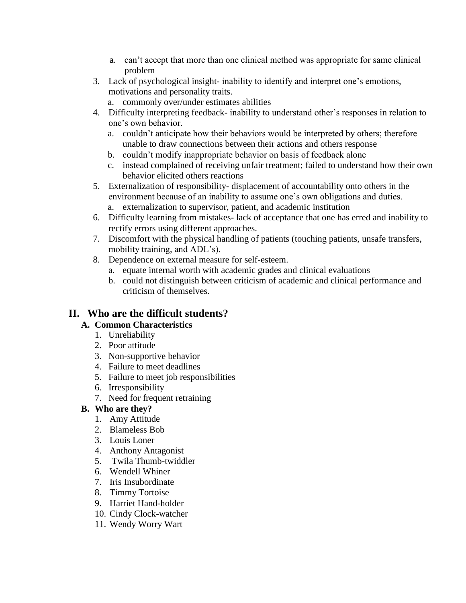- a. can't accept that more than one clinical method was appropriate for same clinical problem
- 3. Lack of psychological insight- inability to identify and interpret one's emotions, motivations and personality traits.
	- a. commonly over/under estimates abilities
- 4. Difficulty interpreting feedback- inability to understand other's responses in relation to one's own behavior.
	- a. couldn't anticipate how their behaviors would be interpreted by others; therefore unable to draw connections between their actions and others response
	- b. couldn't modify inappropriate behavior on basis of feedback alone
	- c. instead complained of receiving unfair treatment; failed to understand how their own behavior elicited others reactions
- 5. Externalization of responsibility- displacement of accountability onto others in the environment because of an inability to assume one's own obligations and duties.
	- a. externalization to supervisor, patient, and academic institution
- 6. Difficulty learning from mistakes- lack of acceptance that one has erred and inability to rectify errors using different approaches.
- 7. Discomfort with the physical handling of patients (touching patients, unsafe transfers, mobility training, and ADL's).
- 8. Dependence on external measure for self-esteem.
	- a. equate internal worth with academic grades and clinical evaluations
	- b. could not distinguish between criticism of academic and clinical performance and criticism of themselves.

### **II. Who are the difficult students?**

#### **A. Common Characteristics**

- 1. Unreliability
- 2. Poor attitude
- 3. Non-supportive behavior
- 4. Failure to meet deadlines
- 5. Failure to meet job responsibilities
- 6. Irresponsibility
- 7. Need for frequent retraining

#### **B. Who are they?**

- 1. Amy Attitude
- 2. Blameless Bob
- 3. Louis Loner
- 4. Anthony Antagonist
- 5. Twila Thumb-twiddler
- 6. Wendell Whiner
- 7. Iris Insubordinate
- 8. Timmy Tortoise
- 9. Harriet Hand-holder
- 10. Cindy Clock-watcher
- 11. Wendy Worry Wart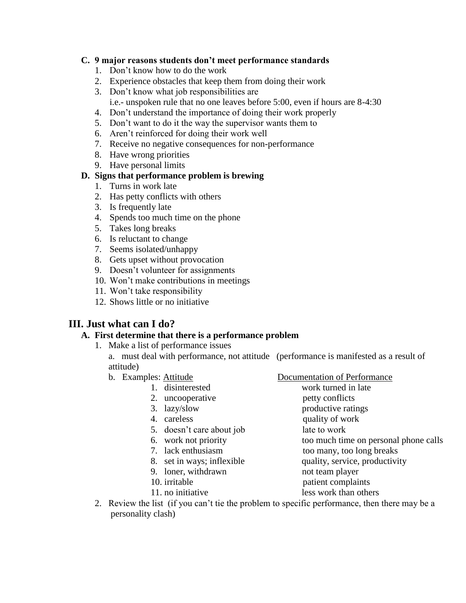#### **C. 9 major reasons students don't meet performance standards**

- 1. Don't know how to do the work
- 2. Experience obstacles that keep them from doing their work
- 3. Don't know what job responsibilities are i.e.- unspoken rule that no one leaves before 5:00, even if hours are 8-4:30
- 4. Don't understand the importance of doing their work properly
- 5. Don't want to do it the way the supervisor wants them to
- 6. Aren't reinforced for doing their work well
- 7. Receive no negative consequences for non-performance
- 8. Have wrong priorities
- 9. Have personal limits

#### **D. Signs that performance problem is brewing**

- 1. Turns in work late
- 2. Has petty conflicts with others
- 3. Is frequently late
- 4. Spends too much time on the phone
- 5. Takes long breaks
- 6. Is reluctant to change
- 7. Seems isolated/unhappy
- 8. Gets upset without provocation
- 9. Doesn't volunteer for assignments
- 10. Won't make contributions in meetings
- 11. Won't take responsibility
- 12. Shows little or no initiative

### **III. Just what can I do?**

#### **A. First determine that there is a performance problem**

1. Make a list of performance issues

a. must deal with performance, not attitude (performance is manifested as a result of attitude)

- 
- b. Examples: Attitude Documentation of Performance
	- 1. disinterested work turned in late
	- 2. uncooperative petty conflicts
	- 3. lazy/slow productive ratings
	- 4. careless quality of work
	- 5. doesn't care about job late to work
	- 6. work not priority too much time on personal phone calls
	- 7. lack enthusiasm too many, too long breaks
	- 8. set in ways; inflexible quality, service, productivity
	- 9. loner, withdrawn not team player
	- 10. irritable patient complaints
		-
	- 11. no initiative less work than others
- 2. Review the list (if you can't tie the problem to specific performance, then there may be a personality clash)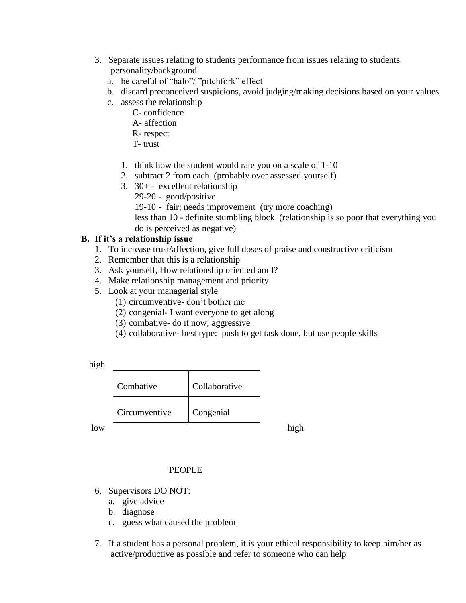- 3. Separate issues relating to students performance from issues relating to students personality/background
	- a. be careful of "halo"/ "pitchfork" effect
	- b. discard preconceived suspicions, avoid judging/making decisions based on your values
	- c. assess the relationship
		- C- confidence
		- A- affection
		- R- respect
		- T- trust
		- 1. think how the student would rate you on a scale of 1-10
		- 2. subtract 2 from each (probably over assessed yourself)
		- 3. 30+ excellent relationship
			- 29-20 good/positive
				- 19-10 fair; needs improvement (try more coaching)

less than 10 - definite stumbling block (relationship is so poor that everything you do is perceived as negative)

#### **B. If it's a relationship issue**

- 1. To increase trust/affection, give full doses of praise and constructive criticism
- 2. Remember that this is a relationship
- 3. Ask yourself, How relationship oriented am I?
- 4. Make relationship management and priority
- 5. Look at your managerial style
	- (1) circumventive- don't bother me
	- (2) congenial- I want everyone to get along
	- (3) combative- do it now; aggressive
	- (4) collaborative- best type: push to get task done, but use people skills

high

|            | Combative     | Collaborative |  |
|------------|---------------|---------------|--|
|            | Circumventive | Congenial     |  |
| $\alpha w$ |               |               |  |

#### PEOPLE

- 6. Supervisors DO NOT:
	- a. give advice
	- b. diagnose
	- c. guess what caused the problem
- 7. If a student has a personal problem, it is your ethical responsibility to keep him/her as active/productive as possible and refer to someone who can help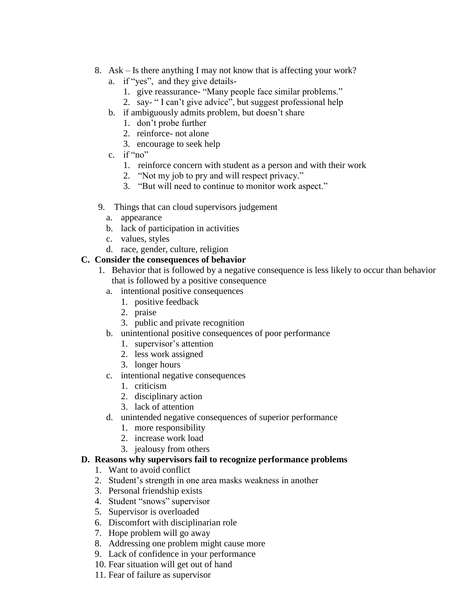- 8. Ask Is there anything I may not know that is affecting your work?
	- a. if "yes", and they give details-
		- 1. give reassurance- "Many people face similar problems."
		- 2. say- " I can't give advice", but suggest professional help
	- b. if ambiguously admits problem, but doesn't share
		- 1. don't probe further
		- 2. reinforce- not alone
		- 3. encourage to seek help
	- c. if "no"
		- 1. reinforce concern with student as a person and with their work
		- 2. "Not my job to pry and will respect privacy."
		- 3. "But will need to continue to monitor work aspect."
- 9. Things that can cloud supervisors judgement
	- a. appearance
	- b. lack of participation in activities
	- c. values, styles
	- d. race, gender, culture, religion

#### **C. Consider the consequences of behavior**

- 1. Behavior that is followed by a negative consequence is less likely to occur than behavior that is followed by a positive consequence
	- a. intentional positive consequences
		- 1. positive feedback
		- 2. praise
		- 3. public and private recognition
	- b. unintentional positive consequences of poor performance
		- 1. supervisor's attention
		- 2. less work assigned
		- 3. longer hours
	- c. intentional negative consequences
		- 1. criticism
		- 2. disciplinary action
		- 3. lack of attention
	- d. unintended negative consequences of superior performance
		- 1. more responsibility
		- 2. increase work load
		- 3. jealousy from others

#### **D. Reasons why supervisors fail to recognize performance problems**

- 1. Want to avoid conflict
- 2. Student's strength in one area masks weakness in another
- 3. Personal friendship exists
- 4. Student "snows" supervisor
- 5. Supervisor is overloaded
- 6. Discomfort with disciplinarian role
- 7. Hope problem will go away
- 8. Addressing one problem might cause more
- 9. Lack of confidence in your performance
- 10. Fear situation will get out of hand
- 11. Fear of failure as supervisor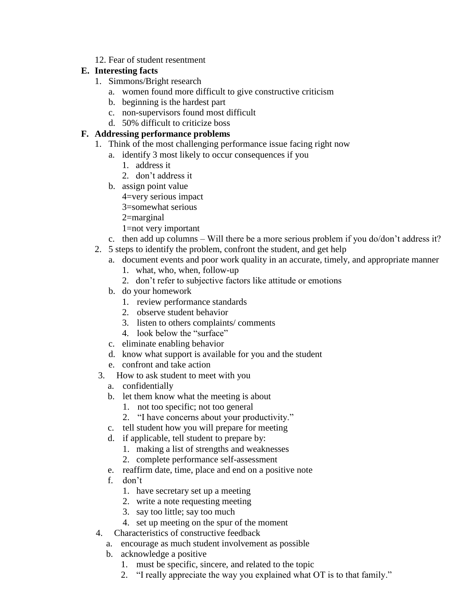12. Fear of student resentment

#### **E. Interesting facts**

- 1. Simmons/Bright research
	- a. women found more difficult to give constructive criticism
	- b. beginning is the hardest part
	- c. non-supervisors found most difficult
	- d. 50% difficult to criticize boss

#### **F. Addressing performance problems**

- 1. Think of the most challenging performance issue facing right now
	- a. identify 3 most likely to occur consequences if you
		- 1. address it
		- 2. don't address it
	- b. assign point value
		- 4=very serious impact
		- 3=somewhat serious
		- 2=marginal
		- 1=not very important
	- c. then add up columns Will there be a more serious problem if you do/don't address it?
- 2. 5 steps to identify the problem, confront the student, and get help
	- a. document events and poor work quality in an accurate, timely, and appropriate manner
		- 1. what, who, when, follow-up
		- 2. don't refer to subjective factors like attitude or emotions
	- b. do your homework
		- 1. review performance standards
		- 2. observe student behavior
		- 3. listen to others complaints/ comments
		- 4. look below the "surface"
	- c. eliminate enabling behavior
	- d. know what support is available for you and the student
	- e. confront and take action
- 3. How to ask student to meet with you
	- a. confidentially
	- b. let them know what the meeting is about
		- 1. not too specific; not too general
		- 2. "I have concerns about your productivity."
	- c. tell student how you will prepare for meeting
	- d. if applicable, tell student to prepare by:
		- 1. making a list of strengths and weaknesses
		- 2. complete performance self-assessment
	- e. reaffirm date, time, place and end on a positive note
	- f. don't
		- 1. have secretary set up a meeting
		- 2. write a note requesting meeting
		- 3. say too little; say too much
		- 4. set up meeting on the spur of the moment
- 4. Characteristics of constructive feedback
	- a. encourage as much student involvement as possible
	- b. acknowledge a positive
		- 1. must be specific, sincere, and related to the topic
		- 2. "I really appreciate the way you explained what OT is to that family."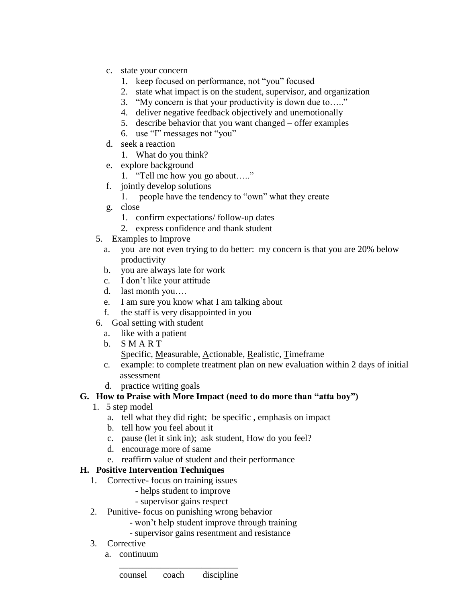- c. state your concern
	- 1. keep focused on performance, not "you" focused
	- 2. state what impact is on the student, supervisor, and organization
	- 3. "My concern is that your productivity is down due to….."
	- 4. deliver negative feedback objectively and unemotionally
	- 5. describe behavior that you want changed offer examples
	- 6. use "I" messages not "you"
- d. seek a reaction
	- 1. What do you think?
- e. explore background
	- 1. "Tell me how you go about….."
- f. jointly develop solutions
	- 1. people have the tendency to "own" what they create
- g. close
	- 1. confirm expectations/ follow-up dates
	- 2. express confidence and thank student
- 5. Examples to Improve
	- a. you are not even trying to do better: my concern is that you are 20% below productivity
	- b. you are always late for work
	- c. I don't like your attitude
	- d. last month you….
	- e. I am sure you know what I am talking about
	- f. the staff is very disappointed in you
- 6. Goal setting with student
	- a. like with a patient
	- b. S M A R T
		- Specific, Measurable, Actionable, Realistic, Timeframe
	- c. example: to complete treatment plan on new evaluation within 2 days of initial assessment
	- d. practice writing goals

#### **G. How to Praise with More Impact (need to do more than "atta boy")**

- 1. 5 step model
	- a. tell what they did right; be specific , emphasis on impact
	- b. tell how you feel about it
	- c. pause (let it sink in); ask student, How do you feel?
	- d. encourage more of same
	- e. reaffirm value of student and their performance

#### **H. Positive Intervention Techniques**

- 1. Corrective- focus on training issues
	- helps student to improve
	- supervisor gains respect
- 2. Punitive- focus on punishing wrong behavior
	- won't help student improve through training
	- supervisor gains resentment and resistance
- 3. Corrective
	- a. continuum

\_\_\_\_\_\_\_\_\_\_\_\_\_\_\_\_\_\_\_\_\_\_\_\_\_\_ counsel coach discipline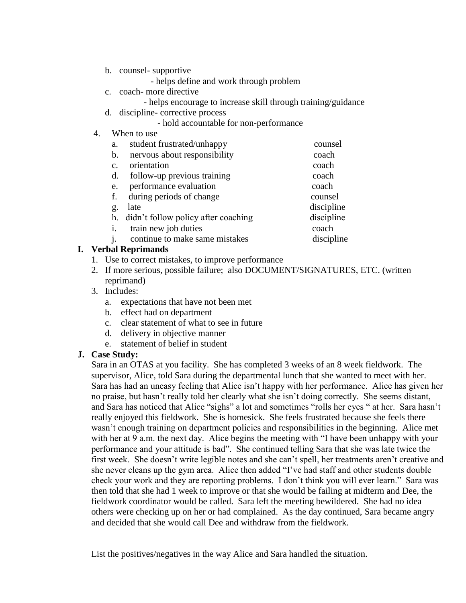- b. counsel- supportive
	- helps define and work through problem
- c. coach- more directive
	- helps encourage to increase skill through training/guidance
- d. discipline- corrective process
	- hold accountable for non-performance
- 4. When to use

| a.             | student frustrated/unhappy             | counsel    |
|----------------|----------------------------------------|------------|
| $\mathbf{b}$ . | nervous about responsibility           | coach      |
| $\mathbf{C}$ . | orientation                            | coach      |
| d.             | follow-up previous training            | coach      |
| e.             | performance evaluation                 | coach      |
| f.             | during periods of change               | counsel    |
| g.             | late                                   | discipline |
|                | h. didn't follow policy after coaching | discipline |
| 1.             | train new job duties                   | coach      |
|                | continue to make same mistakes         | discipline |

#### **I. Verbal Reprimands**

- 1. Use to correct mistakes, to improve performance
- 2. If more serious, possible failure; also DOCUMENT/SIGNATURES, ETC. (written reprimand)
- 3. Includes:
	- a. expectations that have not been met
	- b. effect had on department
	- c. clear statement of what to see in future
	- d. delivery in objective manner
	- e. statement of belief in student

#### **J. Case Study:**

Sara in an OTAS at you facility. She has completed 3 weeks of an 8 week fieldwork. The supervisor, Alice, told Sara during the departmental lunch that she wanted to meet with her. Sara has had an uneasy feeling that Alice isn't happy with her performance. Alice has given her no praise, but hasn't really told her clearly what she isn't doing correctly. She seems distant, and Sara has noticed that Alice "sighs" a lot and sometimes "rolls her eyes " at her. Sara hasn't really enjoyed this fieldwork. She is homesick. She feels frustrated because she feels there wasn't enough training on department policies and responsibilities in the beginning. Alice met with her at 9 a.m. the next day. Alice begins the meeting with "I have been unhappy with your performance and your attitude is bad". She continued telling Sara that she was late twice the first week. She doesn't write legible notes and she can't spell, her treatments aren't creative and she never cleans up the gym area. Alice then added "I've had staff and other students double check your work and they are reporting problems. I don't think you will ever learn." Sara was then told that she had 1 week to improve or that she would be failing at midterm and Dee, the fieldwork coordinator would be called. Sara left the meeting bewildered. She had no idea others were checking up on her or had complained. As the day continued, Sara became angry and decided that she would call Dee and withdraw from the fieldwork.

List the positives/negatives in the way Alice and Sara handled the situation.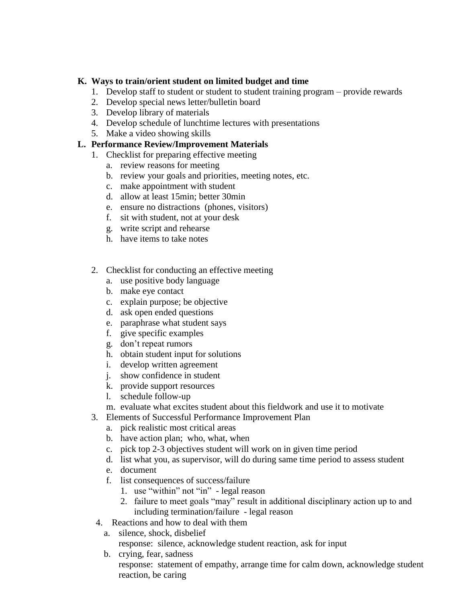#### **K. Ways to train/orient student on limited budget and time**

- 1. Develop staff to student or student to student training program provide rewards
- 2. Develop special news letter/bulletin board
- 3. Develop library of materials
- 4. Develop schedule of lunchtime lectures with presentations
- 5. Make a video showing skills

#### **L. Performance Review/Improvement Materials**

- 1. Checklist for preparing effective meeting
	- a. review reasons for meeting
	- b. review your goals and priorities, meeting notes, etc.
	- c. make appointment with student
	- d. allow at least 15min; better 30min
	- e. ensure no distractions (phones, visitors)
	- f. sit with student, not at your desk
	- g. write script and rehearse
	- h. have items to take notes
- 2. Checklist for conducting an effective meeting
	- a. use positive body language
	- b. make eye contact
	- c. explain purpose; be objective
	- d. ask open ended questions
	- e. paraphrase what student says
	- f. give specific examples
	- g. don't repeat rumors
	- h. obtain student input for solutions
	- i. develop written agreement
	- j. show confidence in student
	- k. provide support resources
	- l. schedule follow-up
	- m. evaluate what excites student about this fieldwork and use it to motivate
- 3. Elements of Successful Performance Improvement Plan
	- a. pick realistic most critical areas
	- b. have action plan; who, what, when
	- c. pick top 2-3 objectives student will work on in given time period
	- d. list what you, as supervisor, will do during same time period to assess student
	- e. document
	- f. list consequences of success/failure
		- 1. use "within" not "in" legal reason
		- 2. failure to meet goals "may" result in additional disciplinary action up to and including termination/failure - legal reason
- 4. Reactions and how to deal with them
	- a. silence, shock, disbelief response: silence, acknowledge student reaction, ask for input
	- b. crying, fear, sadness response: statement of empathy, arrange time for calm down, acknowledge student reaction, be caring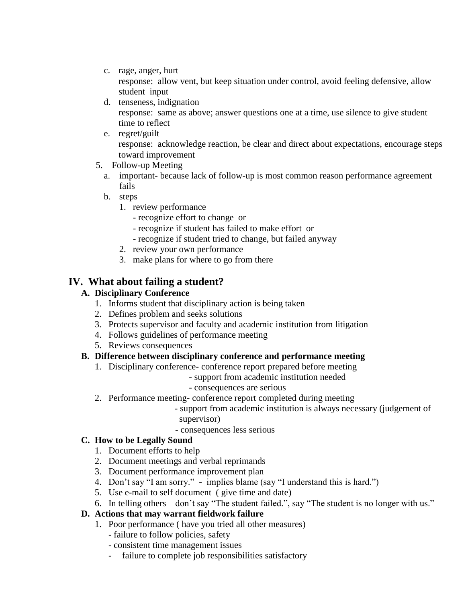c. rage, anger, hurt

response: allow vent, but keep situation under control, avoid feeling defensive, allow student input

d. tenseness, indignation

response: same as above; answer questions one at a time, use silence to give student time to reflect

- e. regret/guilt response: acknowledge reaction, be clear and direct about expectations, encourage steps toward improvement
- 5. Follow-up Meeting
	- a. important- because lack of follow-up is most common reason performance agreement fails
	- b. steps
		- 1. review performance
			- recognize effort to change or
			- recognize if student has failed to make effort or
			- recognize if student tried to change, but failed anyway
		- 2. review your own performance
		- 3. make plans for where to go from there

### **IV. What about failing a student?**

#### **A. Disciplinary Conference**

- 1. Informs student that disciplinary action is being taken
- 2. Defines problem and seeks solutions
- 3. Protects supervisor and faculty and academic institution from litigation
- 4. Follows guidelines of performance meeting
- 5. Reviews consequences

#### **B. Difference between disciplinary conference and performance meeting**

- 1. Disciplinary conference- conference report prepared before meeting
	- support from academic institution needed
	- consequences are serious
- 2. Performance meeting- conference report completed during meeting
	- support from academic institution is always necessary (judgement of supervisor)
	- consequences less serious

#### **C. How to be Legally Sound**

- 1. Document efforts to help
- 2. Document meetings and verbal reprimands
- 3. Document performance improvement plan
- 4. Don't say "I am sorry." implies blame (say "I understand this is hard.")
- 5. Use e-mail to self document ( give time and date)
- 6. In telling others don't say "The student failed.", say "The student is no longer with us."

#### **D. Actions that may warrant fieldwork failure**

- 1. Poor performance ( have you tried all other measures)
	- failure to follow policies, safety
	- consistent time management issues
	- failure to complete job responsibilities satisfactory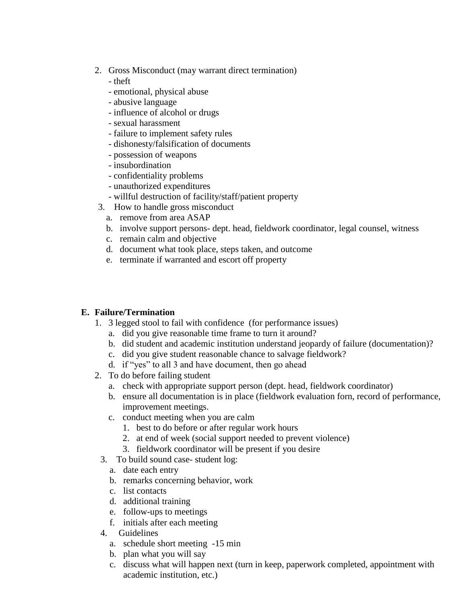- 2. Gross Misconduct (may warrant direct termination)
	- theft
	- emotional, physical abuse
	- abusive language
	- influence of alcohol or drugs
	- sexual harassment
	- failure to implement safety rules
	- dishonesty/falsification of documents
	- possession of weapons
	- insubordination
	- confidentiality problems
	- unauthorized expenditures
	- willful destruction of facility/staff/patient property
- 3. How to handle gross misconduct
	- a. remove from area ASAP
	- b. involve support persons- dept. head, fieldwork coordinator, legal counsel, witness
	- c. remain calm and objective
	- d. document what took place, steps taken, and outcome
	- e. terminate if warranted and escort off property

#### **E. Failure/Termination**

- 1. 3 legged stool to fail with confidence (for performance issues)
	- a. did you give reasonable time frame to turn it around?
	- b. did student and academic institution understand jeopardy of failure (documentation)?
	- c. did you give student reasonable chance to salvage fieldwork?
	- d. if "yes" to all 3 and have document, then go ahead
- 2. To do before failing student
	- a. check with appropriate support person (dept. head, fieldwork coordinator)
	- b. ensure all documentation is in place (fieldwork evaluation forn, record of performance, improvement meetings.
	- c. conduct meeting when you are calm
		- 1. best to do before or after regular work hours
		- 2. at end of week (social support needed to prevent violence)
		- 3. fieldwork coordinator will be present if you desire
	- 3. To build sound case- student log:
		- a. date each entry
		- b. remarks concerning behavior, work
		- c. list contacts
		- d. additional training
		- e. follow-ups to meetings
		- f. initials after each meeting
	- 4. Guidelines
		- a. schedule short meeting -15 min
		- b. plan what you will say
		- c. discuss what will happen next (turn in keep, paperwork completed, appointment with academic institution, etc.)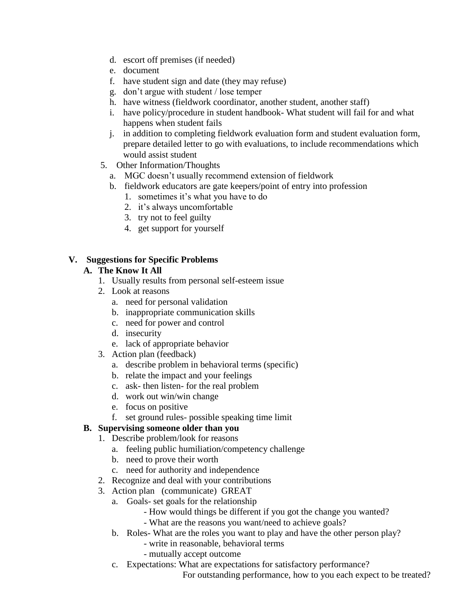- d. escort off premises (if needed)
- e. document
- f. have student sign and date (they may refuse)
- g. don't argue with student / lose temper
- h. have witness (fieldwork coordinator, another student, another staff)
- i. have policy/procedure in student handbook- What student will fail for and what happens when student fails
- j. in addition to completing fieldwork evaluation form and student evaluation form, prepare detailed letter to go with evaluations, to include recommendations which would assist student
- 5. Other Information/Thoughts
	- a. MGC doesn't usually recommend extension of fieldwork
	- b. fieldwork educators are gate keepers/point of entry into profession
		- 1. sometimes it's what you have to do
		- 2. it's always uncomfortable
		- 3. try not to feel guilty
		- 4. get support for yourself

#### **V. Suggestions for Specific Problems**

#### **A. The Know It All**

- 1. Usually results from personal self-esteem issue
- 2. Look at reasons
	- a. need for personal validation
	- b. inappropriate communication skills
	- c. need for power and control
	- d. insecurity
	- e. lack of appropriate behavior
- 3. Action plan (feedback)
	- a. describe problem in behavioral terms (specific)
	- b. relate the impact and your feelings
	- c. ask- then listen- for the real problem
	- d. work out win/win change
	- e. focus on positive
	- f. set ground rules- possible speaking time limit

#### **B. Supervising someone older than you**

- 1. Describe problem/look for reasons
	- a. feeling public humiliation/competency challenge
	- b. need to prove their worth
	- c. need for authority and independence
- 2. Recognize and deal with your contributions
- 3. Action plan (communicate) GREAT
	- a. Goals- set goals for the relationship
		- How would things be different if you got the change you wanted?
		- What are the reasons you want/need to achieve goals?
	- b. Roles- What are the roles you want to play and have the other person play?
		- write in reasonable, behavioral terms
		- mutually accept outcome
	- c. Expectations: What are expectations for satisfactory performance?

For outstanding performance, how to you each expect to be treated?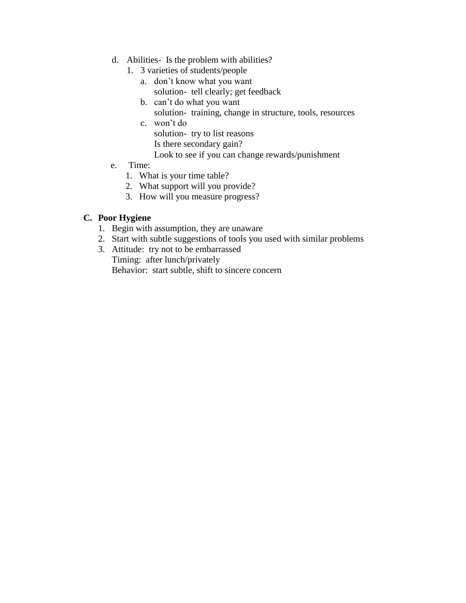- d. Abilities- Is the problem with abilities?
	- 1. 3 varieties of students/people
		- a. don't know what you want solution- tell clearly; get feedback
		- b. can't do what you want solution- training, change in structure, tools, resources
		- c. won't do solution- try to list reasons Is there secondary gain?
			- Look to see if you can change rewards/punishment
- e. Time:
	- 1. What is your time table?
	- 2. What support will you provide?
	- 3. How will you measure progress?

#### **C. Poor Hygiene**

- 1. Begin with assumption, they are unaware
- 2. Start with subtle suggestions of tools you used with similar problems
- 3. Attitude: try not to be embarrassed Timing: after lunch/privately Behavior: start subtle, shift to sincere concern